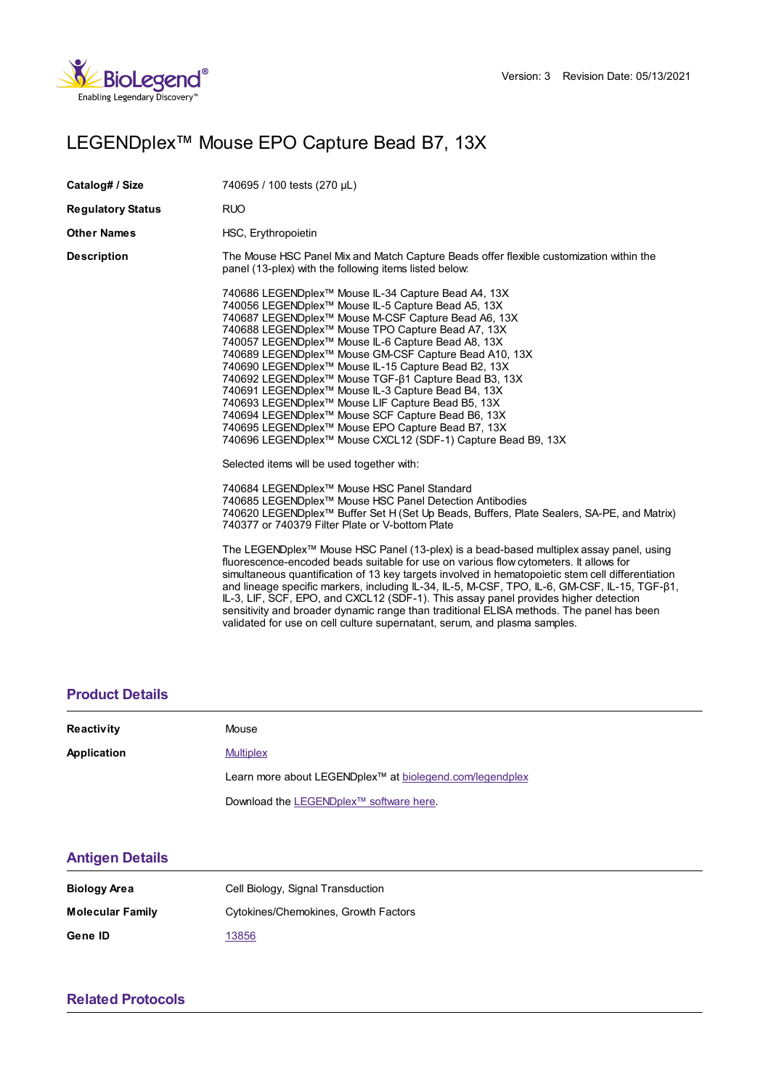

# LEGENDplex™ Mouse EPO Capture Bead B7, 13X

| Catalog# / Size          | 740695 / 100 tests (270 µL)                                                                                                                                                                                                                                                                                                                                                                                                                                                                                                                                                                                                                                                                                                                                                                          |
|--------------------------|------------------------------------------------------------------------------------------------------------------------------------------------------------------------------------------------------------------------------------------------------------------------------------------------------------------------------------------------------------------------------------------------------------------------------------------------------------------------------------------------------------------------------------------------------------------------------------------------------------------------------------------------------------------------------------------------------------------------------------------------------------------------------------------------------|
| <b>Regulatory Status</b> | <b>RUO</b>                                                                                                                                                                                                                                                                                                                                                                                                                                                                                                                                                                                                                                                                                                                                                                                           |
| Other Names              | HSC, Erythropoietin                                                                                                                                                                                                                                                                                                                                                                                                                                                                                                                                                                                                                                                                                                                                                                                  |
| Description              | The Mouse HSC Panel Mix and Match Capture Beads offer flexible customization within the<br>panel (13-plex) with the following items listed below:                                                                                                                                                                                                                                                                                                                                                                                                                                                                                                                                                                                                                                                    |
|                          | 740686 LEGENDplex™ Mouse IL-34 Capture Bead A4, 13X<br>740056 LEGENDplex <sup>™</sup> Mouse IL-5 Capture Bead A5, 13X<br>740687 LEGENDplex™ Mouse M-CSF Capture Bead A6, 13X<br>740688 LEGENDplex™ Mouse TPO Capture Bead A7, 13X<br>740057 LEGENDplex <sup>™</sup> Mouse IL-6 Capture Bead A8, 13X<br>740689 LEGENDplex™ Mouse GM-CSF Capture Bead A10, 13X<br>740690 LEGENDplex <sup>™</sup> Mouse IL-15 Capture Bead B2, 13X<br>740692 LEGENDplex <sup>™</sup> Mouse TGF-β1 Capture Bead B3, 13X<br>740691 LEGENDplex <sup>™</sup> Mouse IL-3 Capture Bead B4, 13X<br>740693 LEGENDplex™ Mouse LIF Capture Bead B5, 13X<br>740694 LEGENDplex™ Mouse SCF Capture Bead B6, 13X<br>740695 LEGENDplex™ Mouse EPO Capture Bead B7, 13X<br>740696 LEGENDplex™ Mouse CXCL12 (SDF-1) Capture Bead B9, 13X |
|                          | Selected items will be used together with:                                                                                                                                                                                                                                                                                                                                                                                                                                                                                                                                                                                                                                                                                                                                                           |
|                          | 740684 LEGENDplex™ Mouse HSC Panel Standard<br>740685 LEGENDplex™ Mouse HSC Panel Detection Antibodies<br>740620 LEGENDplex <sup>™</sup> Buffer Set H (Set Up Beads, Buffers, Plate Sealers, SA-PE, and Matrix)<br>740377 or 740379 Filter Plate or V-bottom Plate                                                                                                                                                                                                                                                                                                                                                                                                                                                                                                                                   |
|                          | The LEGENDplex <sup>™</sup> Mouse HSC Panel (13-plex) is a bead-based multiplex assay panel, using<br>fluorescence-encoded beads suitable for use on various flow cytometers. It allows for<br>simultaneous quantification of 13 key targets involved in hematopoietic stem cell differentiation<br>and lineage specific markers, including IL-34, IL-5, M-CSF, TPO, IL-6, GM-CSF, IL-15, TGF-ß1,<br>IL-3, LIF, SCF, EPO, and CXCL12 (SDF-1). This assay panel provides higher detection<br>sensitivity and broader dynamic range than traditional ELISA methods. The panel has been<br>validated for use on cell culture supernatant, serum, and plasma samples.                                                                                                                                    |

### **[Product](https://production-dynamicweb.biolegend.com/en-gb/products/legendplex-mouse-epo-capture-bead-b7-13x-15217?pdf=true&displayInline=true&leftRightMargin=15&topBottomMargin=15&filename=LEGENDplex%EF%BF%BD%EF%BF%BD%EF%BF%BD Mouse EPO Capture Bead B7, 13X.pdf#productDetails) Details**

| Reactivity  | Mouse                                                                |
|-------------|----------------------------------------------------------------------|
| Application | <b>Multiplex</b>                                                     |
|             | Learn more about LEGENDplex <sup>™</sup> at biolegend.com/legendplex |
|             | Download the LEGENDplex™ software here.                              |

#### **[Antigen](https://production-dynamicweb.biolegend.com/en-gb/products/legendplex-mouse-epo-capture-bead-b7-13x-15217?pdf=true&displayInline=true&leftRightMargin=15&topBottomMargin=15&filename=LEGENDplex%EF%BF%BD%EF%BF%BD%EF%BF%BD Mouse EPO Capture Bead B7, 13X.pdf#antigenDetails) Details**

| Biology Area            | Cell Biology, Signal Transduction    |
|-------------------------|--------------------------------------|
| <b>Molecular Family</b> | Cytokines/Chemokines, Growth Factors |
| Gene ID                 | 13856                                |

## **Related [Protocols](https://production-dynamicweb.biolegend.com/en-gb/products/legendplex-mouse-epo-capture-bead-b7-13x-15217?pdf=true&displayInline=true&leftRightMargin=15&topBottomMargin=15&filename=LEGENDplex%EF%BF%BD%EF%BF%BD%EF%BF%BD Mouse EPO Capture Bead B7, 13X.pdf#productRelatedProtocols)**